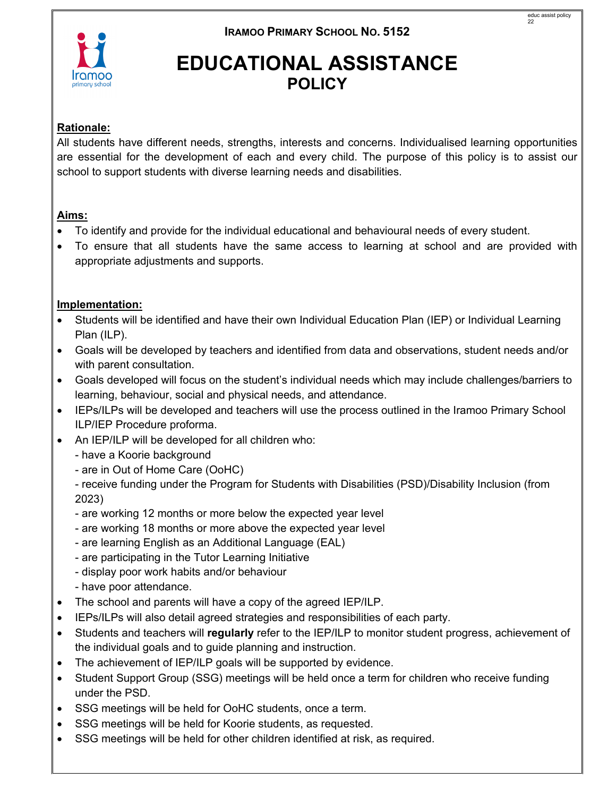# **EDUCATIONAL ASSISTANCE POLICY**

# **Rationale:**

All students have different needs, strengths, interests and concerns. Individualised learning opportunities are essential for the development of each and every child. The purpose of this policy is to assist our school to support students with diverse learning needs and disabilities.

#### **Aims:**

- To identify and provide for the individual educational and behavioural needs of every student.
- To ensure that all students have the same access to learning at school and are provided with appropriate adjustments and supports.

## **Implementation:**

- Students will be identified and have their own Individual Education Plan (IEP) or Individual Learning Plan (ILP).
- Goals will be developed by teachers and identified from data and observations, student needs and/or with parent consultation.
- Goals developed will focus on the student's individual needs which may include challenges/barriers to learning, behaviour, social and physical needs, and attendance.
- IEPs/ILPs will be developed and teachers will use the process outlined in the Iramoo Primary School ILP/IEP Procedure proforma.
- An IEP/ILP will be developed for all children who:
	- have a Koorie background
	- are in Out of Home Care (OoHC)

- receive funding under the Program for Students with Disabilities (PSD)/Disability Inclusion (from 2023)

- are working 12 months or more below the expected year level
- are working 18 months or more above the expected year level
- are learning English as an Additional Language (EAL)
- are participating in the Tutor Learning Initiative
- display poor work habits and/or behaviour
- have poor attendance.
- The school and parents will have a copy of the agreed IEP/ILP.
- IEPs/ILPs will also detail agreed strategies and responsibilities of each party.
- Students and teachers will **regularly** refer to the IEP/ILP to monitor student progress, achievement of the individual goals and to guide planning and instruction.
- The achievement of IEP/ILP goals will be supported by evidence.
- Student Support Group (SSG) meetings will be held once a term for children who receive funding under the PSD.
- SSG meetings will be held for OoHC students, once a term.
- SSG meetings will be held for Koorie students, as requested.
- SSG meetings will be held for other children identified at risk, as required.